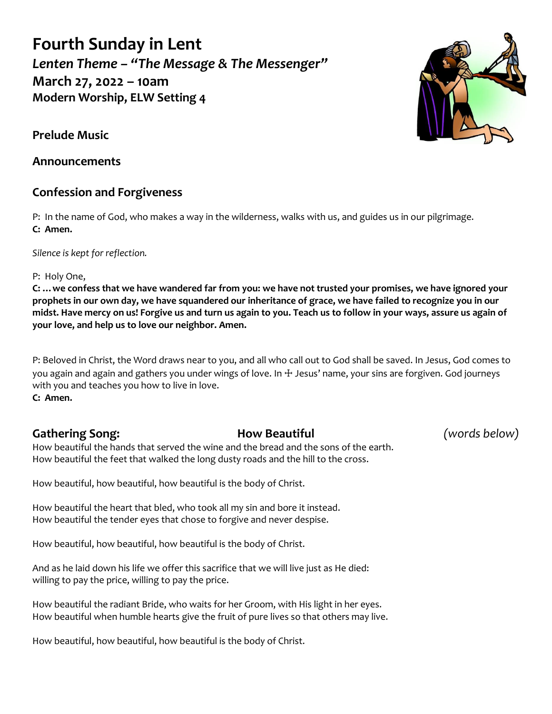**Fourth Sunday in Lent** *Lenten Theme – "The Message & The Messenger"* **March 27, 2022 – 10am Modern Worship, ELW Setting 4**

**Prelude Music**

**Announcements**

## **Confession and Forgiveness**

P: In the name of God, who makes a way in the wilderness, walks with us, and guides us in our pilgrimage. **C: Amen.**

*Silence is kept for reflection.*

P: Holy One,

**C: …we confess that we have wandered far from you: we have not trusted your promises, we have ignored your prophets in our own day, we have squandered our inheritance of grace, we have failed to recognize you in our midst. Have mercy on us! Forgive us and turn us again to you. Teach us to follow in your ways, assure us again of your love, and help us to love our neighbor. Amen.**

P: Beloved in Christ, the Word draws near to you, and all who call out to God shall be saved. In Jesus, God comes to you again and again and gathers you under wings of love. In ☩ Jesus' name, your sins are forgiven. God journeys with you and teaches you how to live in love. **C: Amen.**

## **Gathering Song: How Beautiful** *(words below)*

How beautiful the hands that served the wine and the bread and the sons of the earth. How beautiful the feet that walked the long dusty roads and the hill to the cross.

How beautiful, how beautiful, how beautiful is the body of Christ.

How beautiful the heart that bled, who took all my sin and bore it instead. How beautiful the tender eyes that chose to forgive and never despise.

How beautiful, how beautiful, how beautiful is the body of Christ.

And as he laid down his life we offer this sacrifice that we will live just as He died: willing to pay the price, willing to pay the price.

How beautiful the radiant Bride, who waits for her Groom, with His light in her eyes. How beautiful when humble hearts give the fruit of pure lives so that others may live.

How beautiful, how beautiful, how beautiful is the body of Christ.

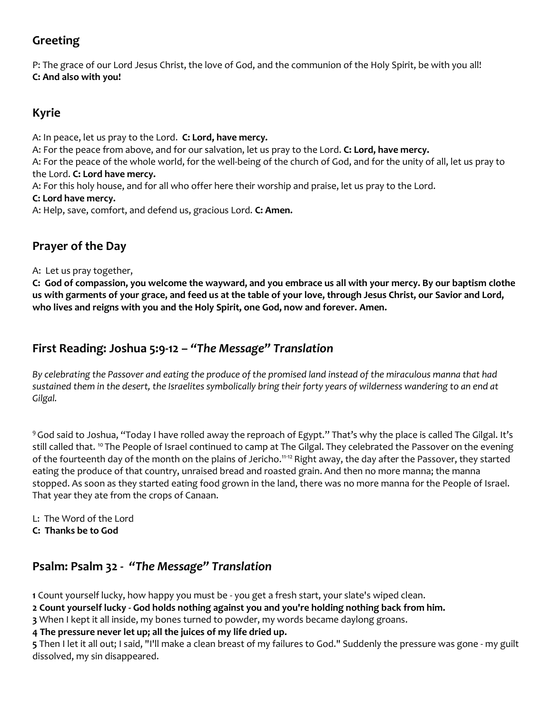# **Greeting**

P: The grace of our Lord Jesus Christ, the love of God, and the communion of the Holy Spirit, be with you all! **C: And also with you!**

## **Kyrie**

A: In peace, let us pray to the Lord. **C: Lord, have mercy.**

A: For the peace from above, and for our salvation, let us pray to the Lord. **C: Lord, have mercy.**

A: For the peace of the whole world, for the well-being of the church of God, and for the unity of all, let us pray to the Lord. **C: Lord have mercy.**

A: For this holy house, and for all who offer here their worship and praise, let us pray to the Lord.

### **C: Lord have mercy.**

A: Help, save, comfort, and defend us, gracious Lord. **C: Amen.**

## **Prayer of the Day**

A: Let us pray together,

**C: God of compassion, you welcome the wayward, and you embrace us all with your mercy. By our baptism clothe us with garments of your grace, and feed us at the table of your love, through Jesus Christ, our Savior and Lord, who lives and reigns with you and the Holy Spirit, one God, now and forever. Amen.**

## **First Reading: Joshua 5:9-12 –** *"The Message" Translation*

*By celebrating the Passover and eating the produce of the promised land instead of the miraculous manna that had sustained them in the desert, the Israelites symbolically bring their forty years of wilderness wandering to an end at Gilgal.*

<sup>9</sup>God said to Joshua, "Today I have rolled away the reproach of Egypt." That's why the place is called The Gilgal. It's still called that. <sup>10</sup> The People of Israel continued to camp at The Gilgal. They celebrated the Passover on the evening of the fourteenth day of the month on the plains of Jericho.<sup>11-12</sup> Right away, the day after the Passover, they started eating the produce of that country, unraised bread and roasted grain. And then no more manna; the manna stopped. As soon as they started eating food grown in the land, there was no more manna for the People of Israel. That year they ate from the crops of Canaan.

L: The Word of the Lord

**C: Thanks be to God**

## **Psalm: Psalm 32 -** *"The Message" Translation*

**1** Count yourself lucky, how happy you must be - you get a fresh start, your slate's wiped clean.

**2 Count yourself lucky - God holds nothing against you and you're holding nothing back from him.** 

**3** When I kept it all inside, my bones turned to powder, my words became daylong groans.

### **4 The pressure never let up; all the juices of my life dried up.**

**5** Then I let it all out; I said, "I'll make a clean breast of my failures to God." Suddenly the pressure was gone - my guilt dissolved, my sin disappeared.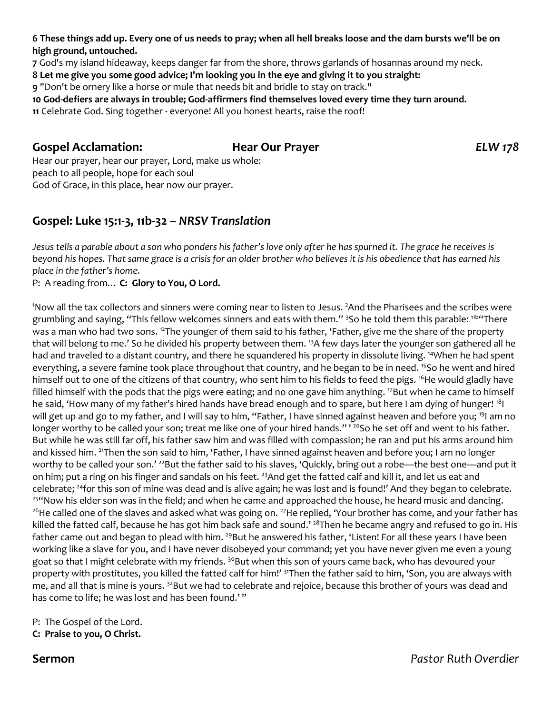**6 These things add up. Every one of us needs to pray; when all hell breaks loose and the dam bursts we'll be on high ground, untouched.** 

**7** God's my island hideaway, keeps danger far from the shore, throws garlands of hosannas around my neck.

**8 Let me give you some good advice; I'm looking you in the eye and giving it to you straight:** 

**9** "Don't be ornery like a horse or mule that needs bit and bridle to stay on track."

**10 God-defiers are always in trouble; God-affirmers find themselves loved every time they turn around.** 

**11** Celebrate God. Sing together - everyone! All you honest hearts, raise the roof!

### **Gospel Acclamation: Hear Our Prayer** *ELW 178*

Hear our prayer, hear our prayer, Lord, make us whole: peach to all people, hope for each soul God of Grace, in this place, hear now our prayer.

## **Gospel: Luke 15:1-3, 11b-32 –** *NRSV Translation*

*Jesus tells a parable about a son who ponders his father's love only after he has spurned it. The grace he receives is beyond his hopes. That same grace is a crisis for an older brother who believes it is his obedience that has earned his place in the father's home.*

P: A reading from… **C: Glory to You, O Lord.**

<sup>1</sup>Now all the tax collectors and sinners were coming near to listen to Jesus. <sup>2</sup>And the Pharisees and the scribes were grumbling and saying, "This fellow welcomes sinners and eats with them." <sup>3</sup>So he told them this parable: <sup>11b</sup> There was a man who had two sons. <sup>12</sup>The younger of them said to his father, 'Father, give me the share of the property that will belong to me.' So he divided his property between them. <sup>13</sup>A few days later the younger son gathered all he had and traveled to a distant country, and there he squandered his property in dissolute living. <sup>14</sup>When he had spent everything, a severe famine took place throughout that country, and he began to be in need. <sup>15</sup>So he went and hired himself out to one of the citizens of that country, who sent him to his fields to feed the pigs. <sup>16</sup>He would gladly have filled himself with the pods that the pigs were eating; and no one gave him anything. <sup>17</sup>But when he came to himself he said, 'How many of my father's hired hands have bread enough and to spare, but here I am dying of hunger! <sup>18</sup>I will get up and go to my father, and I will say to him, "Father, I have sinned against heaven and before you; <sup>19</sup>I am no longer worthy to be called your son; treat me like one of your hired hands."' <sup>20</sup>So he set off and went to his father. But while he was still far off, his father saw him and was filled with compassion; he ran and put his arms around him and kissed him. <sup>21</sup>Then the son said to him, 'Father, I have sinned against heaven and before you; I am no longer worthy to be called your son.' <sup>22</sup>But the father said to his slaves, 'Quickly, bring out a robe—the best one—and put it on him; put a ring on his finger and sandals on his feet. <sup>23</sup>And get the fatted calf and kill it, and let us eat and celebrate; <sup>24</sup>for this son of mine was dead and is alive again; he was lost and is found!' And they began to celebrate. <sup>254</sup>Now his elder son was in the field; and when he came and approached the house, he heard music and dancing. <sup>26</sup>He called one of the slaves and asked what was going on. <sup>27</sup>He replied, 'Your brother has come, and your father has killed the fatted calf, because he has got him back safe and sound.'  $^{28}$ Then he became angry and refused to go in. His father came out and began to plead with him. <sup>29</sup>But he answered his father, 'Listen! For all these years I have been working like a slave for you, and I have never disobeyed your command; yet you have never given me even a young goat so that I might celebrate with my friends. <sup>30</sup>But when this son of yours came back, who has devoured your property with prostitutes, you killed the fatted calf for him!' <sup>31</sup>Then the father said to him, 'Son, you are always with me, and all that is mine is yours. <sup>32</sup>But we had to celebrate and rejoice, because this brother of yours was dead and has come to life; he was lost and has been found.'"

P: The Gospel of the Lord.

**C: Praise to you, O Christ.**

**Sermon** *Pastor Ruth Overdier*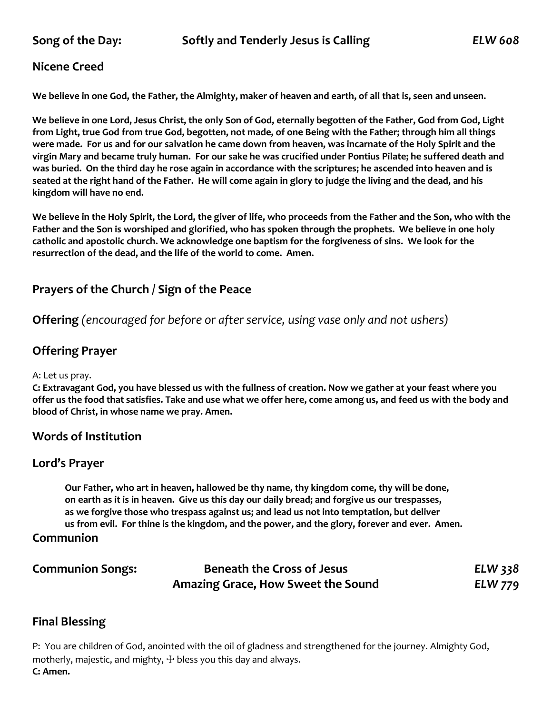### **Nicene Creed**

**We believe in one God, the Father, the Almighty, maker of heaven and earth, of all that is, seen and unseen.**

**We believe in one Lord, Jesus Christ, the only Son of God, eternally begotten of the Father, God from God, Light from Light, true God from true God, begotten, not made, of one Being with the Father; through him all things were made. For us and for our salvation he came down from heaven, was incarnate of the Holy Spirit and the virgin Mary and became truly human. For our sake he was crucified under Pontius Pilate; he suffered death and was buried. On the third day he rose again in accordance with the scriptures; he ascended into heaven and is seated at the right hand of the Father. He will come again in glory to judge the living and the dead, and his kingdom will have no end.**

**We believe in the Holy Spirit, the Lord, the giver of life, who proceeds from the Father and the Son, who with the Father and the Son is worshiped and glorified, who has spoken through the prophets. We believe in one holy catholic and apostolic church. We acknowledge one baptism for the forgiveness of sins. We look for the resurrection of the dead, and the life of the world to come. Amen.**

## **Prayers of the Church / Sign of the Peace**

**Offering** *(encouraged for before or after service, using vase only and not ushers)*

### **Offering Prayer**

### A: Let us pray.

**C: Extravagant God, you have blessed us with the fullness of creation. Now we gather at your feast where you offer us the food that satisfies. Take and use what we offer here, come among us, and feed us with the body and blood of Christ, in whose name we pray. Amen.**

### **Words of Institution**

### **Lord's Prayer**

**Our Father, who art in heaven, hallowed be thy name, thy kingdom come, thy will be done, on earth as it is in heaven. Give us this day our daily bread; and forgive us our trespasses, as we forgive those who trespass against us; and lead us not into temptation, but deliver us from evil. For thine is the kingdom, and the power, and the glory, forever and ever. Amen.**

### **Communion**

| <b>Communion Songs:</b> | <b>Beneath the Cross of Jesus</b>  | <b>ELW 338</b> |
|-------------------------|------------------------------------|----------------|
|                         | Amazing Grace, How Sweet the Sound | <b>ELW 779</b> |

## **Final Blessing**

P: You are children of God, anointed with the oil of gladness and strengthened for the journey. Almighty God, motherly, majestic, and mighty,  $\pm$  bless you this day and always. **C: Amen.**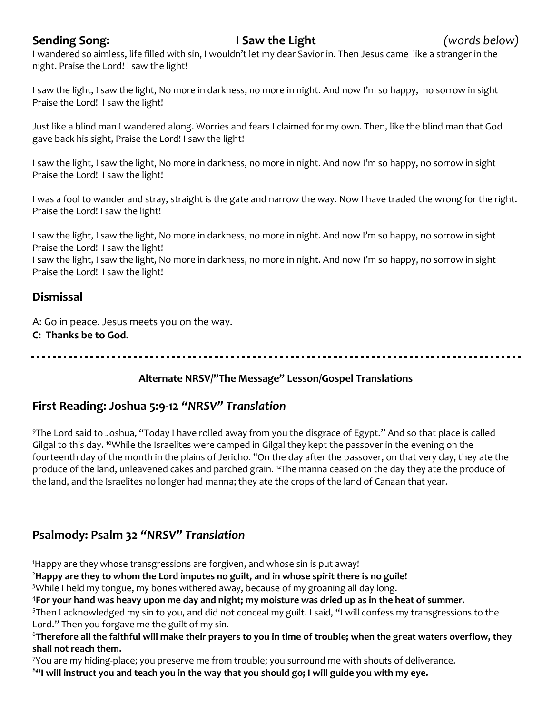## **Sending Song: I Saw the Light** *(words below)*

I wandered so aimless, life filled with sin, I wouldn't let my dear Savior in. Then Jesus came like a stranger in the night. Praise the Lord! I saw the light!

I saw the light, I saw the light, No more in darkness, no more in night. And now I'm so happy, no sorrow in sight Praise the Lord! I saw the light!

Just like a blind man I wandered along. Worries and fears I claimed for my own. Then, like the blind man that God gave back his sight, Praise the Lord! I saw the light!

I saw the light, I saw the light, No more in darkness, no more in night. And now I'm so happy, no sorrow in sight Praise the Lord! I saw the light!

I was a fool to wander and stray, straight is the gate and narrow the way. Now I have traded the wrong for the right. Praise the Lord! I saw the light!

I saw the light, I saw the light, No more in darkness, no more in night. And now I'm so happy, no sorrow in sight Praise the Lord! I saw the light!

I saw the light, I saw the light, No more in darkness, no more in night. And now I'm so happy, no sorrow in sight Praise the Lord! I saw the light!

## **Dismissal**

A: Go in peace. Jesus meets you on the way. **C: Thanks be to God.**

### **Alternate NRSV/"The Message" Lesson/Gospel Translations**

### **First Reading: Joshua 5:9-12** *"NRSV" Translation*

<sup>9</sup>The Lord said to Joshua, "Today I have rolled away from you the disgrace of Egypt." And so that place is called Gilgal to this day. <sup>10</sup>While the Israelites were camped in Gilgal they kept the passover in the evening on the fourteenth day of the month in the plains of Jericho. "On the day after the passover, on that very day, they ate the produce of the land, unleavened cakes and parched grain. <sup>12</sup>The manna ceased on the day they ate the produce of the land, and the Israelites no longer had manna; they ate the crops of the land of Canaan that year.

## **Psalmody: Psalm 32** *"NRSV" Translation*

<sup>1</sup>Happy are they whose transgressions are forgiven, and whose sin is put away!

<sup>2</sup>**Happy are they to whom the Lord imputes no guilt, and in whose spirit there is no guile!**

<sup>3</sup>While I held my tongue, my bones withered away, because of my groaning all day long.

<sup>4</sup>**For your hand was heavy upon me day and night; my moisture was dried up as in the heat of summer.**

<sup>5</sup>Then I acknowledged my sin to you, and did not conceal my guilt. I said, "I will confess my transgressions to the Lord." Then you forgave me the guilt of my sin.

### <sup>6</sup>**Therefore all the faithful will make their prayers to you in time of trouble; when the great waters overflow, they shall not reach them.**

<sup>7</sup>You are my hiding-place; you preserve me from trouble; you surround me with shouts of deliverance. <sup>8</sup>**"I will instruct you and teach you in the way that you should go; I will guide you with my eye.**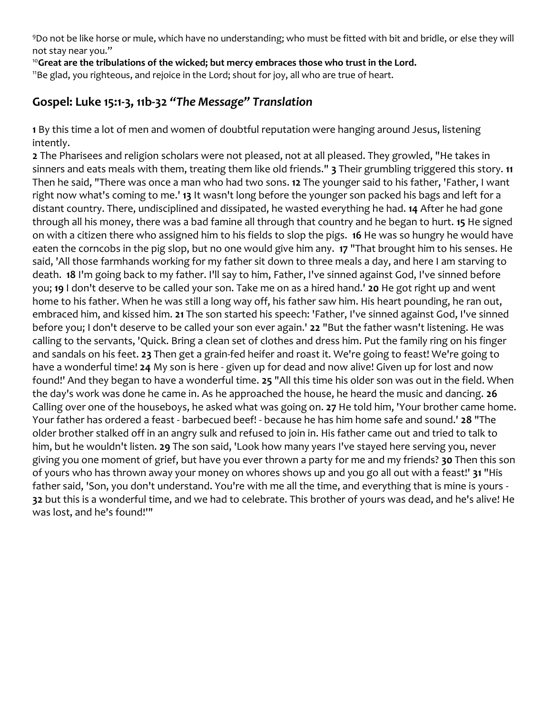<sup>9</sup>Do not be like horse or mule, which have no understanding; who must be fitted with bit and bridle, or else they will not stay near you."

<sup>10</sup>**Great are the tribulations of the wicked; but mercy embraces those who trust in the Lord.**

<sup>11</sup>Be glad, you righteous, and rejoice in the Lord; shout for joy, all who are true of heart.

## **Gospel: Luke 15:1-3, 11b-32** *"The Message" Translation*

**1** By this time a lot of men and women of doubtful reputation were hanging around Jesus, listening intently.

**2** The Pharisees and religion scholars were not pleased, not at all pleased. They growled, "He takes in sinners and eats meals with them, treating them like old friends." **3** Their grumbling triggered this story. **11** Then he said, "There was once a man who had two sons. **12** The younger said to his father, 'Father, I want right now what's coming to me.' **13** It wasn't long before the younger son packed his bags and left for a distant country. There, undisciplined and dissipated, he wasted everything he had. **14** After he had gone through all his money, there was a bad famine all through that country and he began to hurt. **15** He signed on with a citizen there who assigned him to his fields to slop the pigs. **16** He was so hungry he would have eaten the corncobs in the pig slop, but no one would give him any. **17** "That brought him to his senses. He said, 'All those farmhands working for my father sit down to three meals a day, and here I am starving to death. **18** I'm going back to my father. I'll say to him, Father, I've sinned against God, I've sinned before you; **19** I don't deserve to be called your son. Take me on as a hired hand.' **20** He got right up and went home to his father. When he was still a long way off, his father saw him. His heart pounding, he ran out, embraced him, and kissed him. **21** The son started his speech: 'Father, I've sinned against God, I've sinned before you; I don't deserve to be called your son ever again.' **22** "But the father wasn't listening. He was calling to the servants, 'Quick. Bring a clean set of clothes and dress him. Put the family ring on his finger and sandals on his feet. **23** Then get a grain-fed heifer and roast it. We're going to feast! We're going to have a wonderful time! **24** My son is here - given up for dead and now alive! Given up for lost and now found!' And they began to have a wonderful time. **25** "All this time his older son was out in the field. When the day's work was done he came in. As he approached the house, he heard the music and dancing. **26** Calling over one of the houseboys, he asked what was going on. **27** He told him, 'Your brother came home. Your father has ordered a feast - barbecued beef! - because he has him home safe and sound.' **28** "The older brother stalked off in an angry sulk and refused to join in. His father came out and tried to talk to him, but he wouldn't listen. **29** The son said, 'Look how many years I've stayed here serving you, never giving you one moment of grief, but have you ever thrown a party for me and my friends? **30** Then this son of yours who has thrown away your money on whores shows up and you go all out with a feast!' **31** "His father said, 'Son, you don't understand. You're with me all the time, and everything that is mine is yours - **32** but this is a wonderful time, and we had to celebrate. This brother of yours was dead, and he's alive! He was lost, and he's found!'"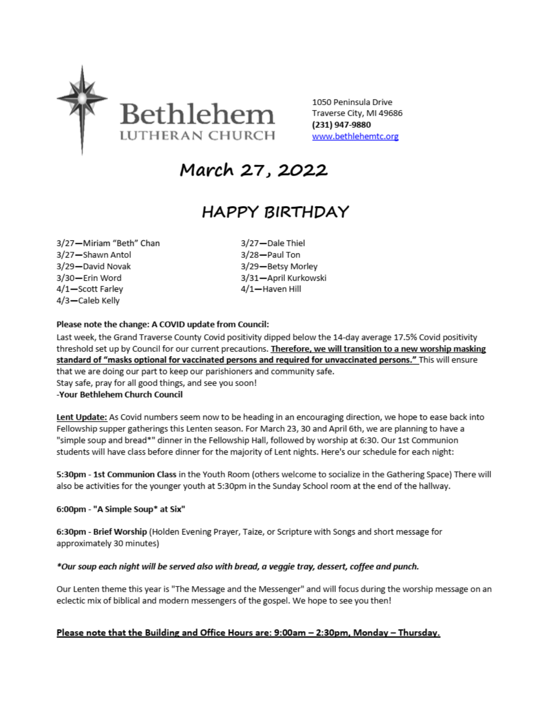

# March 27, 2022

# **HAPPY BIRTHDAY**

3/27-Miriam "Beth" Chan 3/27-Shawn Antol 3/29-David Novak 3/30-Erin Word 4/1-Scott Farley 4/3-Caleb Kelly

3/27-Dale Thiel 3/28-Paul Ton 3/29-Betsy Morley 3/31-April Kurkowski 4/1-Haven Hill

### Please note the change: A COVID update from Council:

Last week, the Grand Traverse County Covid positivity dipped below the 14-day average 17.5% Covid positivity threshold set up by Council for our current precautions. Therefore, we will transition to a new worship masking standard of "masks optional for vaccinated persons and required for unvaccinated persons." This will ensure that we are doing our part to keep our parishioners and community safe. Stay safe, pray for all good things, and see you soon! -Your Bethlehem Church Council

Lent Update: As Covid numbers seem now to be heading in an encouraging direction, we hope to ease back into Fellowship supper gatherings this Lenten season. For March 23, 30 and April 6th, we are planning to have a "simple soup and bread\*" dinner in the Fellowship Hall, followed by worship at 6:30. Our 1st Communion students will have class before dinner for the majority of Lent nights. Here's our schedule for each night:

5:30pm - 1st Communion Class in the Youth Room (others welcome to socialize in the Gathering Space) There will also be activities for the younger youth at 5:30pm in the Sunday School room at the end of the hallway.

### 6:00pm - "A Simple Soup\* at Six"

6:30pm - Brief Worship (Holden Evening Prayer, Taize, or Scripture with Songs and short message for approximately 30 minutes)

### \*Our soup each night will be served also with bread, a veggie tray, dessert, coffee and punch.

Our Lenten theme this year is "The Message and the Messenger" and will focus during the worship message on an eclectic mix of biblical and modern messengers of the gospel. We hope to see you then!

### Please note that the Building and Office Hours are: 9:00am - 2:30pm, Monday - Thursday.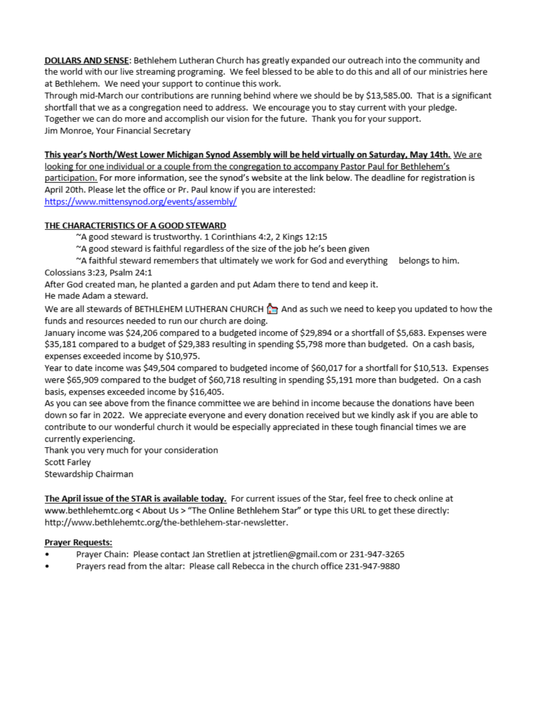DOLLARS AND SENSE: Bethlehem Lutheran Church has greatly expanded our outreach into the community and the world with our live streaming programing. We feel blessed to be able to do this and all of our ministries here at Bethlehem. We need your support to continue this work.

Through mid-March our contributions are running behind where we should be by \$13,585.00. That is a significant shortfall that we as a congregation need to address. We encourage you to stay current with your pledge. Together we can do more and accomplish our vision for the future. Thank you for your support. Jim Monroe, Your Financial Secretary

### This year's North/West Lower Michigan Synod Assembly will be held virtually on Saturday, May 14th. We are

looking for one individual or a couple from the congregation to accompany Pastor Paul for Bethlehem's participation. For more information, see the synod's website at the link below. The deadline for registration is April 20th. Please let the office or Pr. Paul know if you are interested: https://www.mittensynod.org/events/assembly/

### THE CHARACTERISTICS OF A GOOD STEWARD

"A good steward is trustworthy. 1 Corinthians 4:2, 2 Kings 12:15

"A good steward is faithful regardless of the size of the job he's been given

"A faithful steward remembers that ultimately we work for God and everything belongs to him. Colossians 3:23, Psalm 24:1

After God created man, he planted a garden and put Adam there to tend and keep it.

He made Adam a steward.

We are all stewards of BETHLEHEM LUTHERAN CHURCH (n) And as such we need to keep you updated to how the funds and resources needed to run our church are doing.

January income was \$24,206 compared to a budgeted income of \$29,894 or a shortfall of \$5,683. Expenses were \$35,181 compared to a budget of \$29,383 resulting in spending \$5,798 more than budgeted. On a cash basis, expenses exceeded income by \$10,975.

Year to date income was \$49,504 compared to budgeted income of \$60,017 for a shortfall for \$10,513. Expenses were \$65,909 compared to the budget of \$60,718 resulting in spending \$5,191 more than budgeted. On a cash basis, expenses exceeded income by \$16,405.

As you can see above from the finance committee we are behind in income because the donations have been down so far in 2022. We appreciate everyone and every donation received but we kindly ask if you are able to contribute to our wonderful church it would be especially appreciated in these tough financial times we are currently experiencing.

Thank you very much for your consideration

Scott Farley

Stewardship Chairman

The April issue of the STAR is available today. For current issues of the Star, feel free to check online at www.bethlehemtc.org < About Us > "The Online Bethlehem Star" or type this URL to get these directly: http://www.bethlehemtc.org/the-bethlehem-star-newsletter.

### **Prayer Requests:**

- Prayer Chain: Please contact Jan Stretlien at jstretlien@gmail.com or 231-947-3265
- Prayers read from the altar: Please call Rebecca in the church office 231-947-9880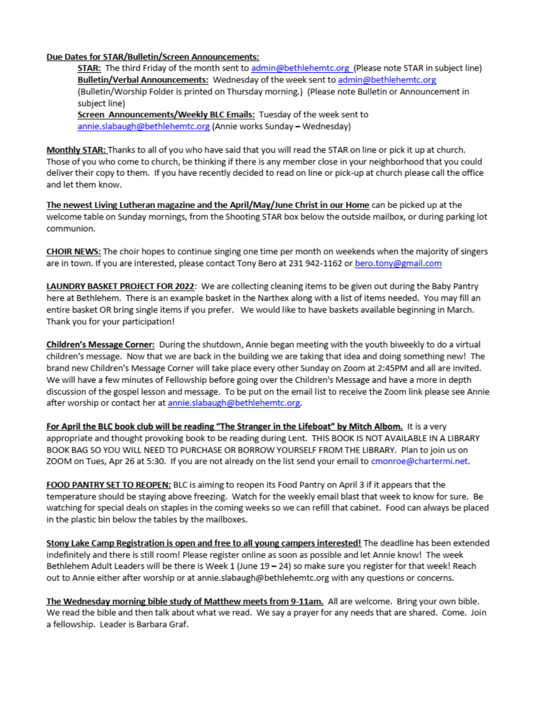### Due Dates for STAR/Bulletin/Screen Announcements:

STAR: The third Friday of the month sent to admin@bethlehemtc.org (Please note STAR in subject line) Bulletin/Verbal Announcements: Wednesday of the week sent to admin@bethlehemtc.org (Bulletin/Worship Folder is printed on Thursday morning.) (Please note Bulletin or Announcement in subject line) Screen Announcements/Weekly BLC Emails: Tuesday of the week sent to

annie.slabaugh@bethlehemtc.org (Annie works Sunday - Wednesday)

Monthly STAR: Thanks to all of you who have said that you will read the STAR on line or pick it up at church. Those of you who come to church, be thinking if there is any member close in your neighborhood that you could deliver their copy to them. If you have recently decided to read on line or pick-up at church please call the office and let them know.

The newest Living Lutheran magazine and the April/May/June Christ in our Home can be picked up at the welcome table on Sunday mornings, from the Shooting STAR box below the outside mailbox, or during parking lot communion.

CHOIR NEWS: The choir hopes to continue singing one time per month on weekends when the majority of singers are in town. If you are interested, please contact Tony Bero at 231 942-1162 or bero.tony@gmail.com

LAUNDRY BASKET PROJECT FOR 2022: We are collecting cleaning items to be given out during the Baby Pantry here at Bethlehem. There is an example basket in the Narthex along with a list of items needed. You may fill an entire basket OR bring single items if you prefer. We would like to have baskets available beginning in March. Thank you for your participation!

Children's Message Corner: During the shutdown, Annie began meeting with the youth biweekly to do a virtual children's message. Now that we are back in the building we are taking that idea and doing something new! The brand new Children's Message Corner will take place every other Sunday on Zoom at 2:45PM and all are invited. We will have a few minutes of Fellowship before going over the Children's Message and have a more in depth discussion of the gospel lesson and message. To be put on the email list to receive the Zoom link please see Annie after worship or contact her at annie.slabaugh@bethlehemtc.org.

For April the BLC book club will be reading "The Stranger in the Lifeboat" by Mitch Albom. It is a very appropriate and thought provoking book to be reading during Lent. THIS BOOK IS NOT AVAILABLE IN A LIBRARY BOOK BAG SO YOU WILL NEED TO PURCHASE OR BORROW YOURSELF FROM THE LIBRARY. Plan to join us on ZOOM on Tues, Apr 26 at 5:30. If you are not already on the list send your email to cmonroe@chartermi.net.

FOOD PANTRY SET TO REOPEN: BLC is aiming to reopen its Food Pantry on April 3 if it appears that the temperature should be staying above freezing. Watch for the weekly email blast that week to know for sure. Be watching for special deals on staples in the coming weeks so we can refill that cabinet. Food can always be placed in the plastic bin below the tables by the mailboxes.

Stony Lake Camp Registration is open and free to all young campers interested! The deadline has been extended indefinitely and there is still room! Please register online as soon as possible and let Annie know! The week Bethlehem Adult Leaders will be there is Week 1 (June 19 - 24) so make sure you register for that week! Reach out to Annie either after worship or at annie.slabaugh@bethlehemtc.org with any questions or concerns.

The Wednesday morning bible study of Matthew meets from 9-11am. All are welcome. Bring your own bible. We read the bible and then talk about what we read. We say a prayer for any needs that are shared. Come. Join a fellowship. Leader is Barbara Graf.